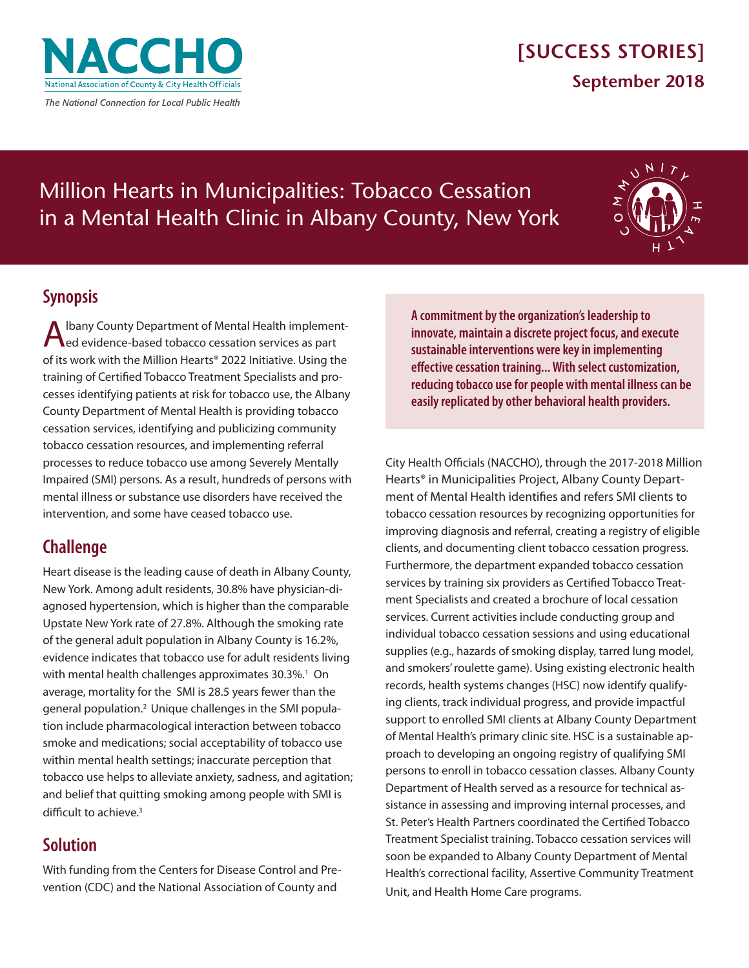

# **[SUCCESS STORIES] September 2018**

# Million Hearts in Municipalities: Tobacco Cessation in a Mental Health Clinic in Albany County, New York



## **Synopsis**

A Ibany County Department of Mental Health implement-<br>
Aled evidence-based tobacco cessation services as part of its work with the Million Hearts® 2022 Initiative. Using the training of Certified Tobacco Treatment Specialists and processes identifying patients at risk for tobacco use, the Albany County Department of Mental Health is providing tobacco cessation services, identifying and publicizing community tobacco cessation resources, and implementing referral processes to reduce tobacco use among Severely Mentally Impaired (SMI) persons. As a result, hundreds of persons with mental illness or substance use disorders have received the intervention, and some have ceased tobacco use.

## **Challenge**

Heart disease is the leading cause of death in Albany County, New York. Among adult residents, 30.8% have physician-diagnosed hypertension, which is higher than the comparable Upstate New York rate of 27.8%. Although the smoking rate of the general adult population in Albany County is 16.2%, evidence indicates that tobacco use for adult residents living with mental health challenges approximates 30.3%.<sup>1</sup> On average, mortality for the SMI is 28.5 years fewer than the general population.2 Unique challenges in the SMI population include pharmacological interaction between tobacco smoke and medications; social acceptability of tobacco use within mental health settings; inaccurate perception that tobacco use helps to alleviate anxiety, sadness, and agitation; and belief that quitting smoking among people with SMI is difficult to achieve.<sup>3</sup>

# **Solution**

With funding from the Centers for Disease Control and Prevention (CDC) and the National Association of County and

**A commitment by the organization's leadership to innovate, maintain a discrete project focus, and execute sustainable interventions were key in implementing effective cessation training... With select customization, reducing tobacco use for people with mental illness can be easily replicated by other behavioral health providers.**

City Health Officials (NACCHO), through the 2017-2018 Million Hearts® in Municipalities Project, Albany County Department of Mental Health identifies and refers SMI clients to tobacco cessation resources by recognizing opportunities for improving diagnosis and referral, creating a registry of eligible clients, and documenting client tobacco cessation progress. Furthermore, the department expanded tobacco cessation services by training six providers as Certified Tobacco Treatment Specialists and created a brochure of local cessation services. Current activities include conducting group and individual tobacco cessation sessions and using educational supplies (e.g., hazards of smoking display, tarred lung model, and smokers' roulette game). Using existing electronic health records, health systems changes (HSC) now identify qualifying clients, track individual progress, and provide impactful support to enrolled SMI clients at Albany County Department of Mental Health's primary clinic site. HSC is a sustainable approach to developing an ongoing registry of qualifying SMI persons to enroll in tobacco cessation classes. Albany County Department of Health served as a resource for technical assistance in assessing and improving internal processes, and St. Peter's Health Partners coordinated the Certified Tobacco Treatment Specialist training. Tobacco cessation services will soon be expanded to Albany County Department of Mental Health's correctional facility, Assertive Community Treatment Unit, and Health Home Care programs.